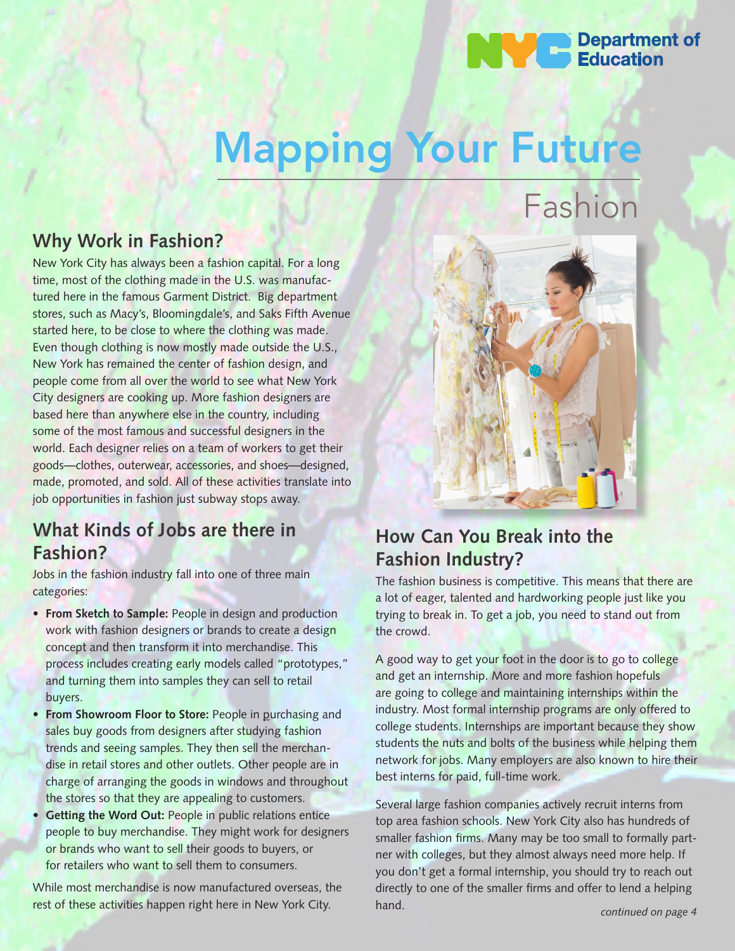## **Department of Education**

# Mapping Your Future

## **Why Work in Fashion?**

New York City has always been a fashion capital. For a long time, most of the clothing made in the U.S. was manufactured here in the famous Garment District. Big department stores, such as Macy's, Bloomingdale's, and Saks Fifth Avenue started here, to be close to where the clothing was made. Even though clothing is now mostly made outside the U.S., New York has remained the center of fashion design, and people come from all over the world to see what New York City designers are cooking up. More fashion designers are based here than anywhere else in the country, including some of the most famous and successful designers in the world. Each designer relies on a team of workers to get their goods—clothes, outerwear, accessories, and shoes—designed, made, promoted, and sold. All of these activities translate into job opportunities in fashion just subway stops away.

## **What Kinds of Jobs are there in Fashion?**

Jobs in the fashion industry fall into one of three main categories:

- **From Sketch to Sample:** People in design and production work with fashion designers or brands to create a design concept and then transform it into merchandise. This process includes creating early models called "prototypes," and turning them into samples they can sell to retail buyers.
- **From Showroom Floor to Store:** People in purchasing and sales buy goods from designers after studying fashion trends and seeing samples. They then sell the merchandise in retail stores and other outlets. Other people are in charge of arranging the goods in windows and throughout the stores so that they are appealing to customers.
- **Getting the Word Out: People in public relations entice** people to buy merchandise. They might work for designers or brands who want to sell their goods to buyers, or for retailers who want to sell them to consumers.

While most merchandise is now manufactured overseas, the rest of these activities happen right here in New York City.



## **How Can You Break into the Fashion Industry?**

The fashion business is competitive. This means that there are a lot of eager, talented and hardworking people just like you trying to break in. To get a job, you need to stand out from the crowd.

A good way to get your foot in the door is to go to college and get an internship. More and more fashion hopefuls are going to college and maintaining internships within the industry. Most formal internship programs are only offered to college students. Internships are important because they show students the nuts and bolts of the business while helping them network for jobs. Many employers are also known to hire their best interns for paid, full-time work.

Several large fashion companies actively recruit interns from top area fashion schools. New York City also has hundreds of smaller fashion firms. Many may be too small to formally partner with colleges, but they almost always need more help. If you don't get a formal internship, you should try to reach out directly to one of the smaller firms and offer to lend a helping hand.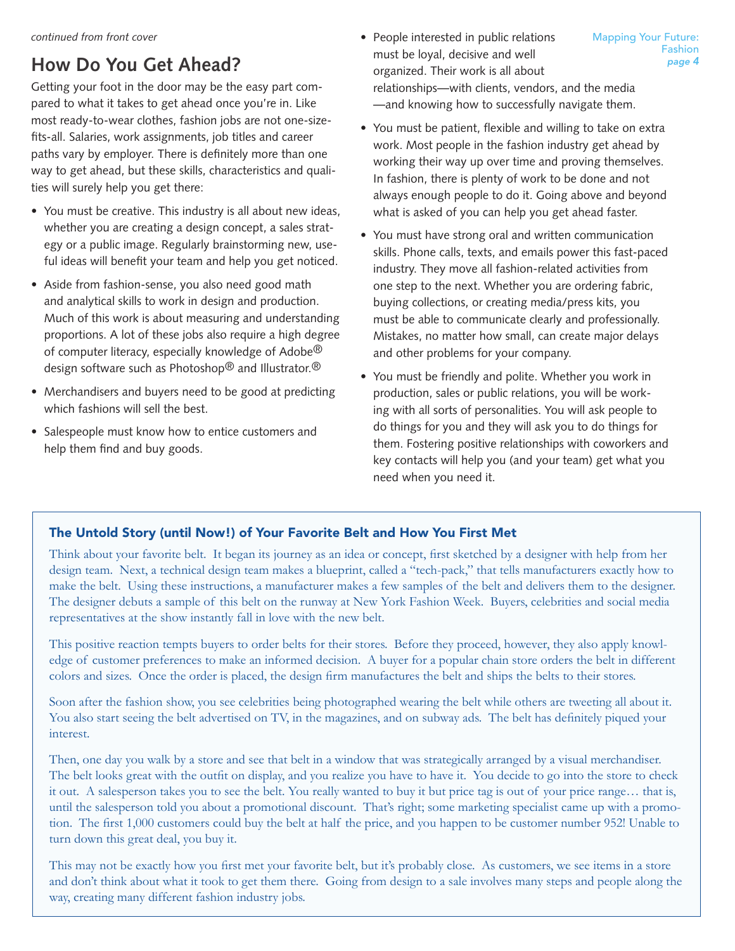# **How Do You Get Ahead?**

Getting your foot in the door may be the easy part compared to what it takes to get ahead once you're in. Like most ready-to-wear clothes, fashion jobs are not one-sizefits-all. Salaries, work assignments, job titles and career paths vary by employer. There is definitely more than one way to get ahead, but these skills, characteristics and qualities will surely help you get there:

- You must be creative. This industry is all about new ideas, whether you are creating a design concept, a sales strategy or a public image. Regularly brainstorming new, useful ideas will benefit your team and help you get noticed.
- Aside from fashion-sense, you also need good math and analytical skills to work in design and production. Much of this work is about measuring and understanding proportions. A lot of these jobs also require a high degree of computer literacy, especially knowledge of Adobe $^{\circledR}$ design software such as Photoshop® and Illustrator.®
- Merchandisers and buyers need to be good at predicting which fashions will sell the best.
- Salespeople must know how to entice customers and help them find and buy goods.
- People interested in public relations must be loyal, decisive and well organized. Their work is all about relationships—with clients, vendors, and the media —and knowing how to successfully navigate them.
- You must be patient, flexible and willing to take on extra work. Most people in the fashion industry get ahead by working their way up over time and proving themselves. In fashion, there is plenty of work to be done and not always enough people to do it. Going above and beyond what is asked of you can help you get ahead faster.
- You must have strong oral and written communication skills. Phone calls, texts, and emails power this fast-paced industry. They move all fashion-related activities from one step to the next. Whether you are ordering fabric, buying collections, or creating media/press kits, you must be able to communicate clearly and professionally. Mistakes, no matter how small, can create major delays and other problems for your company.
- You must be friendly and polite. Whether you work in production, sales or public relations, you will be working with all sorts of personalities. You will ask people to do things for you and they will ask you to do things for them. Fostering positive relationships with coworkers and key contacts will help you (and your team) get what you need when you need it.

## The Untold Story (until Now!) of Your Favorite Belt and How You First Met

Think about your favorite belt. It began its journey as an idea or concept, first sketched by a designer with help from her design team. Next, a technical design team makes a blueprint, called a "tech-pack," that tells manufacturers exactly how to make the belt. Using these instructions, a manufacturer makes a few samples of the belt and delivers them to the designer. The designer debuts a sample of this belt on the runway at New York Fashion Week. Buyers, celebrities and social media representatives at the show instantly fall in love with the new belt.

This positive reaction tempts buyers to order belts for their stores. Before they proceed, however, they also apply knowledge of customer preferences to make an informed decision. A buyer for a popular chain store orders the belt in different colors and sizes. Once the order is placed, the design firm manufactures the belt and ships the belts to their stores.

Soon after the fashion show, you see celebrities being photographed wearing the belt while others are tweeting all about it. You also start seeing the belt advertised on TV, in the magazines, and on subway ads. The belt has definitely piqued your interest.

Then, one day you walk by a store and see that belt in a window that was strategically arranged by a visual merchandiser. The belt looks great with the outfit on display, and you realize you have to have it. You decide to go into the store to check it out. A salesperson takes you to see the belt. You really wanted to buy it but price tag is out of your price range… that is, until the salesperson told you about a promotional discount. That's right; some marketing specialist came up with a promotion. The first 1,000 customers could buy the belt at half the price, and you happen to be customer number 952! Unable to turn down this great deal, you buy it.

This may not be exactly how you first met your favorite belt, but it's probably close. As customers, we see items in a store and don't think about what it took to get them there. Going from design to a sale involves many steps and people along the way, creating many different fashion industry jobs.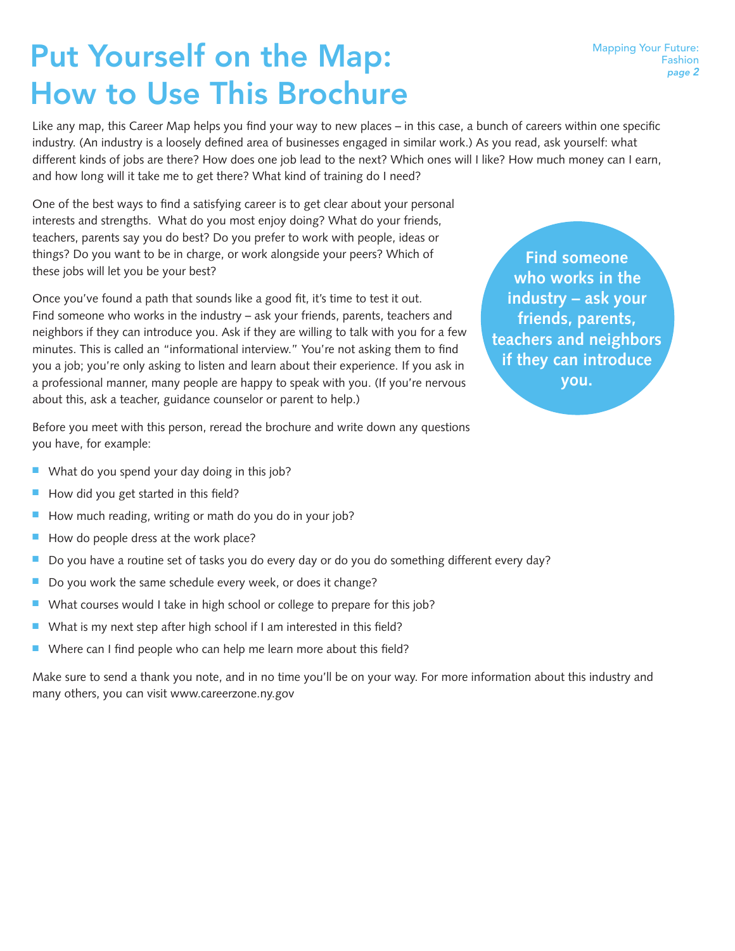# Put Yourself on the Map: How to Use This Brochure

Like any map, this Career Map helps you find your way to new places – in this case, a bunch of careers within one specific industry. (An industry is a loosely defined area of businesses engaged in similar work.) As you read, ask yourself: what different kinds of jobs are there? How does one job lead to the next? Which ones will I like? How much money can I earn, and how long will it take me to get there? What kind of training do I need?

One of the best ways to find a satisfying career is to get clear about your personal interests and strengths. What do you most enjoy doing? What do your friends, teachers, parents say you do best? Do you prefer to work with people, ideas or things? Do you want to be in charge, or work alongside your peers? Which of these jobs will let you be your best?

Once you've found a path that sounds like a good fit, it's time to test it out. Find someone who works in the industry – ask your friends, parents, teachers and neighbors if they can introduce you. Ask if they are willing to talk with you for a few minutes. This is called an "informational interview." You're not asking them to find you a job; you're only asking to listen and learn about their experience. If you ask in a professional manner, many people are happy to speak with you. (If you're nervous about this, ask a teacher, guidance counselor or parent to help.)

**Find someone who works in the industry – ask your friends, parents, teachers and neighbors if they can introduce you.**

Before you meet with this person, reread the brochure and write down any questions you have, for example:

- $\blacksquare$  What do you spend your day doing in this job?
- $\blacksquare$  How did you get started in this field?
- $\blacksquare$  How much reading, writing or math do you do in your job?
- $\blacksquare$  How do people dress at the work place?
- Do you have a routine set of tasks you do every day or do you do something different every day?
- $\blacksquare$  Do you work the same schedule every week, or does it change?
- $\blacksquare$  What courses would I take in high school or college to prepare for this job?
- $\blacksquare$  What is my next step after high school if I am interested in this field?
- $\blacksquare$  Where can I find people who can help me learn more about this field?

Make sure to send a thank you note, and in no time you'll be on your way. For more information about this industry and many others, you can visit www.careerzone.ny.gov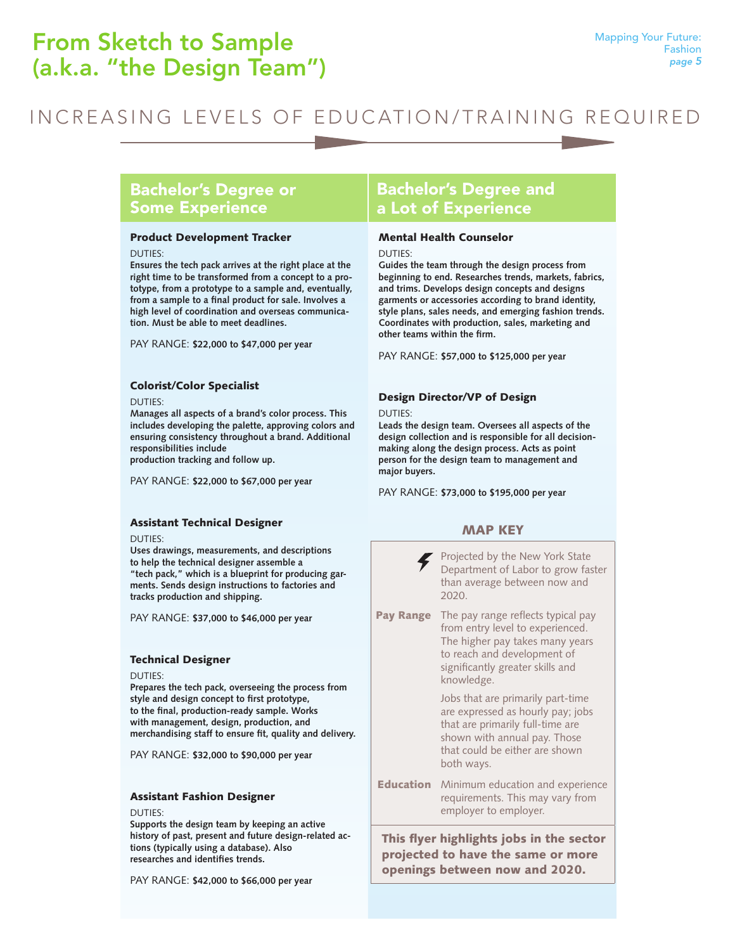# INCREASING LEVELS OF EDUCATION/TRAINING REQUIRED

## Bachelor's Degree or Some Experience

#### Product Development Tracker

DUTIES:

**Ensures the tech pack arrives at the right place at the right time to be transformed from a concept to a prototype, from a prototype to a sample and, eventually, from a sample to a final product for sale. Involves a high level of coordination and overseas communication. Must be able to meet deadlines.**

PAY RANGE: **\$22,000 to \$47,000 per year**

#### Colorist/Color Specialist

DUTIES:

**Manages all aspects of a brand's color process. This includes developing the palette, approving colors and ensuring consistency throughout a brand. Additional responsibilities include production tracking and follow up.**

PAY RANGE: **\$22,000 to \$67,000 per year**

#### Assistant Technical Designer

DUTIES:

**Uses drawings, measurements, and descriptions to help the technical designer assemble a "tech pack," which is a blueprint for producing garments. Sends design instructions to factories and tracks production and shipping.**

PAY RANGE: **\$37,000 to \$46,000 per year**

#### Technical Designer

DUTIES:

**Prepares the tech pack, overseeing the process from style and design concept to first prototype, to the final, production-ready sample. Works with management, design, production, and merchandising staff to ensure fit, quality and delivery.**

PAY RANGE: **\$32,000 to \$90,000 per year**

#### Assistant Fashion Designer

DUTIES:

**Supports the design team by keeping an active history of past, present and future design-related actions (typically using a database). Also researches and identifies trends.**

PAY RANGE: **\$42,000 to \$66,000 per year**

## Bachelor's Degree and a Lot of Experience

#### Mental Health Counselor

DUTIES:

**Guides the team through the design process from beginning to end. Researches trends, markets, fabrics, and trims. Develops design concepts and designs garments or accessories according to brand identity, style plans, sales needs, and emerging fashion trends. Coordinates with production, sales, marketing and other teams within the firm.**

PAY RANGE: **\$57,000 to \$125,000 per year**

#### Design Director/VP of Design

DUTIES:

**Leads the design team. Oversees all aspects of the design collection and is responsible for all decisionmaking along the design process. Acts as point person for the design team to management and major buyers.**

PAY RANGE: **\$73,000 to \$195,000 per year**

#### MAP KEY



This flyer highlights jobs in the sector projected to have the same or more openings between now and 2020.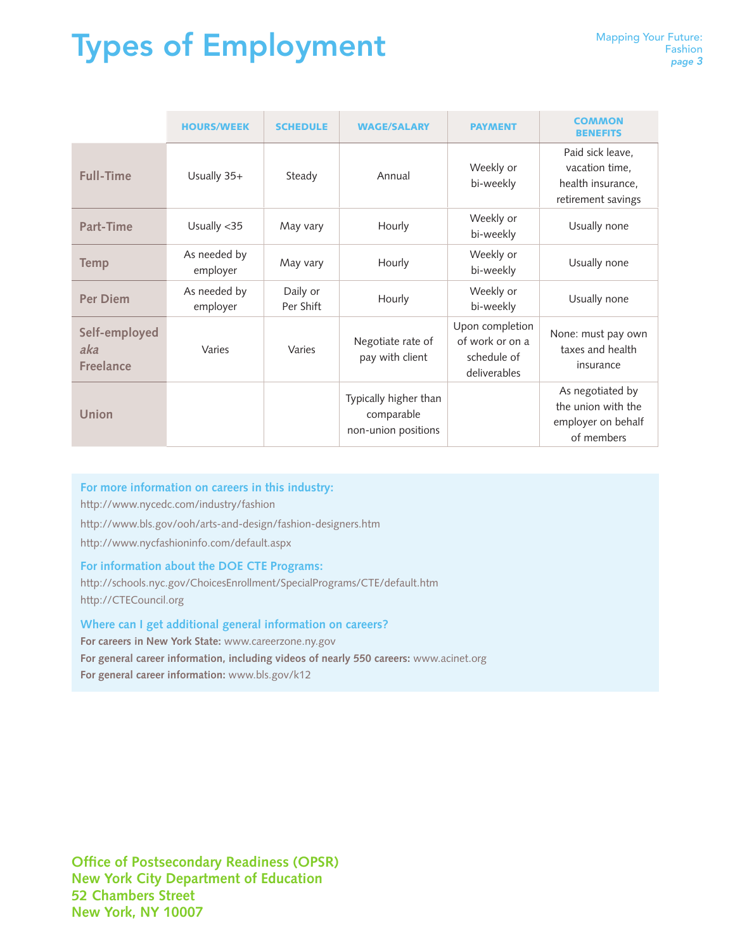# **Types of Employment** *Mapping Your Future:*

|                                          | <b>HOURS/WEEK</b>        | <b>SCHEDULE</b>       | <b>WAGE/SALARY</b>                                         | <b>PAYMENT</b>                                                    | <b>COMMON</b><br><b>BENEFITS</b>                                              |
|------------------------------------------|--------------------------|-----------------------|------------------------------------------------------------|-------------------------------------------------------------------|-------------------------------------------------------------------------------|
| <b>Full-Time</b>                         | Usually 35+              | Steady                | Annual                                                     | Weekly or<br>bi-weekly                                            | Paid sick leave,<br>vacation time.<br>health insurance,<br>retirement savings |
| Part-Time                                | Usually <35              | May vary              | Hourly                                                     | Weekly or<br>bi-weekly                                            | Usually none                                                                  |
| <b>Temp</b>                              | As needed by<br>employer | May vary              | Hourly                                                     | Weekly or<br>bi-weekly                                            | Usually none                                                                  |
| <b>Per Diem</b>                          | As needed by<br>employer | Daily or<br>Per Shift | Hourly                                                     | Weekly or<br>bi-weekly                                            | Usually none                                                                  |
| Self-employed<br>aka<br><b>Freelance</b> | Varies                   | Varies                | Negotiate rate of<br>pay with client                       | Upon completion<br>of work or on a<br>schedule of<br>deliverables | None: must pay own<br>taxes and health<br>insurance                           |
| Union                                    |                          |                       | Typically higher than<br>comparable<br>non-union positions |                                                                   | As negotiated by<br>the union with the<br>employer on behalf<br>of members    |

### **For more information on careers in this industry:**

http://www.nycedc.com/industry/fashion

http://www.bls.gov/ooh/arts-and-design/fashion-designers.htm

http://www.nycfashioninfo.com/default.aspx

#### **For information about the DOE CTE Programs:**

http://schools.nyc.gov/ChoicesEnrollment/SpecialPrograms/CTE/default.htm http://CTECouncil.org

#### **Where can I get additional general information on careers?**

**For careers in New York State:** www.careerzone.ny.gov **For general career information, including videos of nearly 550 careers:** www.acinet.org **For general career information:** www.bls.gov/k12

**Office of Postsecondary Readiness (OPSR) New York City Department of Education 52 Chambers Street New York, NY 10007**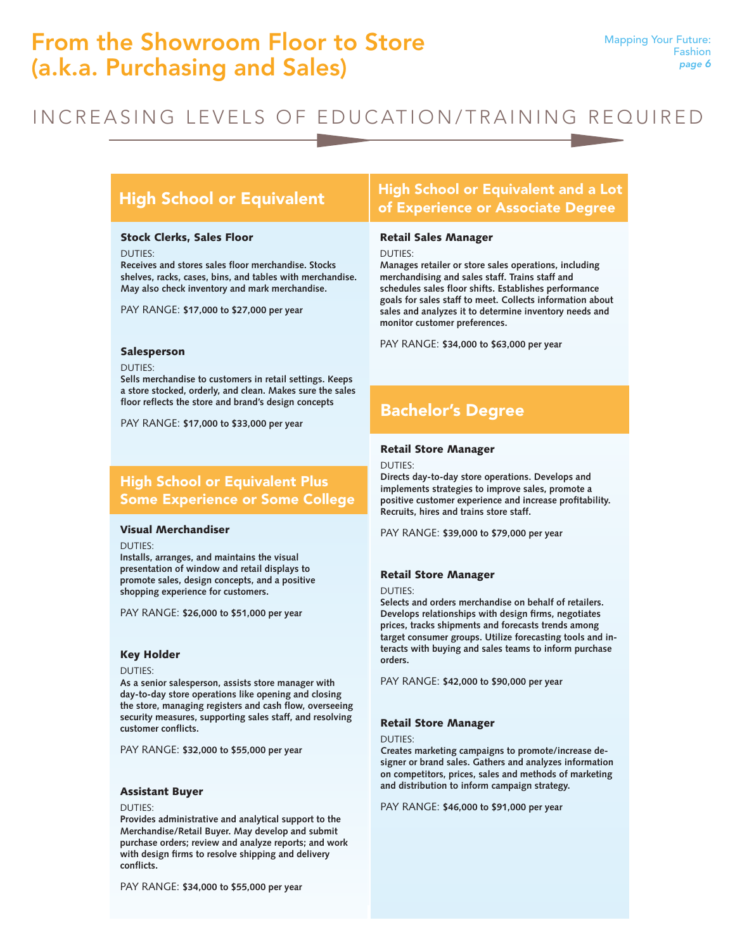# From the Showroom Floor to Store (a.k.a. Purchasing and Sales)

# INCREASING LEVELS OF EDUCATION/TRAINING REQUIRED

#### Stock Clerks, Sales Floor

DUTIES:

**Receives and stores sales floor merchandise. Stocks shelves, racks, cases, bins, and tables with merchandise. May also check inventory and mark merchandise.** 

PAY RANGE: **\$17,000 to \$27,000 per year**

#### Salesperson

DUTIES:

**Sells merchandise to customers in retail settings. Keeps a store stocked, orderly, and clean. Makes sure the sales floor reflects the store and brand's design concepts**

PAY RANGE: **\$17,000 to \$33,000 per year**

### High School or Equivalent Plus Some Experience or Some College

#### Visual Merchandiser

#### DUTIES:

**Installs, arranges, and maintains the visual presentation of window and retail displays to promote sales, design concepts, and a positive shopping experience for customers.** 

PAY RANGE: **\$26,000 to \$51,000 per year**

#### Key Holder

DUTIES:

**As a senior salesperson, assists store manager with day-to-day store operations like opening and closing the store, managing registers and cash flow, overseeing security measures, supporting sales staff, and resolving customer conflicts.** 

PAY RANGE: **\$32,000 to \$55,000 per year**

#### Assistant Buyer

DUTIES:

**Provides administrative and analytical support to the Merchandise/Retail Buyer. May develop and submit purchase orders; review and analyze reports; and work with design firms to resolve shipping and delivery conflicts.** 

PAY RANGE: **\$34,000 to \$55,000 per year**

### High School or Equivalent High School or Equivalent and a Lot of Experience or Associate Degree

#### Retail Sales Manager

DUTIES:

**Manages retailer or store sales operations, including merchandising and sales staff. Trains staff and schedules sales floor shifts. Establishes performance goals for sales staff to meet. Collects information about sales and analyzes it to determine inventory needs and monitor customer preferences.** 

PAY RANGE: **\$34,000 to \$63,000 per year**

## Bachelor's Degree

#### Retail Store Manager

DUTIES:

**Directs day-to-day store operations. Develops and implements strategies to improve sales, promote a positive customer experience and increase profitability. Recruits, hires and trains store staff.** 

PAY RANGE: **\$39,000 to \$79,000 per year**

#### Retail Store Manager

DUTIES:

**Selects and orders merchandise on behalf of retailers. Develops relationships with design firms, negotiates prices, tracks shipments and forecasts trends among target consumer groups. Utilize forecasting tools and interacts with buying and sales teams to inform purchase orders.** 

PAY RANGE: **\$42,000 to \$90,000 per year**

#### Retail Store Manager

DUTIES:

**Creates marketing campaigns to promote/increase designer or brand sales. Gathers and analyzes information on competitors, prices, sales and methods of marketing and distribution to inform campaign strategy.** 

PAY RANGE: **\$46,000 to \$91,000 per year**